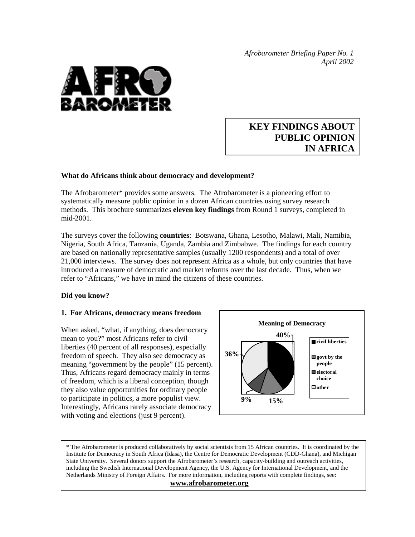*Afrobarometer Briefing Paper No. 1 April 2002* 



# **KEY FINDINGS ABOUT PUBLIC OPINION IN AFRICA**

## **What do Africans think about democracy and development?**

The Afrobarometer\* provides some answers. The Afrobarometer is a pioneering effort to systematically measure public opinion in a dozen African countries using survey research methods. This brochure summarizes **eleven key findings** from Round 1 surveys, completed in mid-2001.

The surveys cover the following **countries**: Botswana, Ghana, Lesotho, Malawi, Mali, Namibia, Nigeria, South Africa, Tanzania, Uganda, Zambia and Zimbabwe. The findings for each country are based on nationally representative samples (usually 1200 respondents) and a total of over 21,000 interviews. The survey does not represent Africa as a whole, but only countries that have introduced a measure of democratic and market reforms over the last decade. Thus, when we refer to "Africans," we have in mind the citizens of these countries.

#### **Did you know?**

#### **1. For Africans, democracy means freedom**

When asked, "what, if anything, does democracy mean to you?" most Africans refer to civil liberties (40 percent of all responses), especially freedom of speech. They also see democracy as meaning "government by the people" (15 percent). Thus, Africans regard democracy mainly in terms of freedom, which is a liberal conception, though they also value opportunities for ordinary people to participate in politics, a more populist view. Interestingly, Africans rarely associate democracy with voting and elections (just 9 percent).



\* The Afrobarometer is produced collaboratively by social scientists from 15 African countries. It is coordinated by the Institute for Democracy in South Africa (Idasa), the Centre for Democratic Development (CDD-Ghana), and Michigan State University. Several donors support the Afrobarometer's research, capacity-building and outreach activities, including the Swedish International Development Agency, the U.S. Agency for International Development, and the Netherlands Ministry of Foreign Affairs. For more information, including reports with complete findings, see:

#### **www.afrobarometer.org**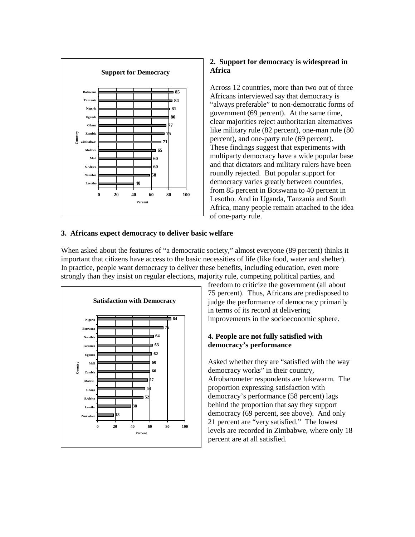

# **2. Support for democracy is widespread in Africa**

Across 12 countries, more than two out of three Africans interviewed say that democracy is "always preferable" to non-democratic forms of government (69 percent). At the same time, clear majorities reject authoritarian alternatives like military rule (82 percent), one-man rule (80 percent), and one-party rule (69 percent). These findings suggest that experiments with multiparty democracy have a wide popular base and that dictators and military rulers have been roundly rejected. But popular support for democracy varies greatly between countries, from 85 percent in Botswana to 40 percent in Lesotho. And in Uganda, Tanzania and South Africa, many people remain attached to the idea of one-party rule.

# **3. Africans expect democracy to deliver basic welfare**

When asked about the features of "a democratic society," almost everyone (89 percent) thinks it important that citizens have access to the basic necessities of life (like food, water and shelter). In practice, people want democracy to deliver these benefits, including education, even more strongly than they insist on regular elections, majority rule, competing political parties, and



freedom to criticize the government (all about 75 percent). Thus, Africans are predisposed to judge the performance of democracy primarily in terms of its record at delivering improvements in the socioeconomic sphere.

# **4. People are not fully satisfied with democracy's performance**

Asked whether they are "satisfied with the way democracy works" in their country, Afrobarometer respondents are lukewarm. The proportion expressing satisfaction with democracy's performance (58 percent) lags behind the proportion that say they support democracy (69 percent, see above). And only 21 percent are "very satisfied." The lowest levels are recorded in Zimbabwe, where only 18 percent are at all satisfied.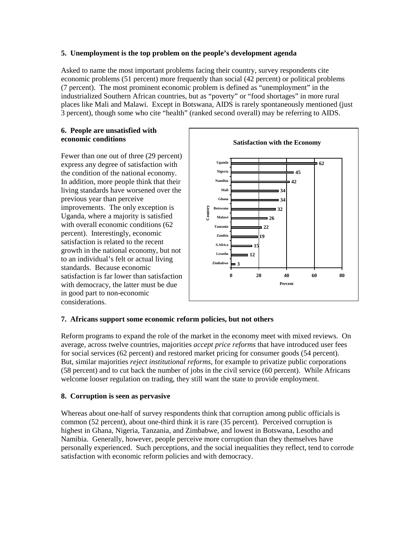## **5. Unemployment is the top problem on the people's development agenda**

Asked to name the most important problems facing their country, survey respondents cite economic problems (51 percent) more frequently than social (42 percent) or political problems (7 percent). The most prominent economic problem is defined as "unemployment" in the industrialized Southern African countries, but as "poverty" or "food shortages" in more rural places like Mali and Malawi. Except in Botswana, AIDS is rarely spontaneously mentioned (just 3 percent), though some who cite "health" (ranked second overall) may be referring to AIDS.

#### **6. People are unsatisfied with economic conditions**

Fewer than one out of three (29 percent) express any degree of satisfaction with the condition of the national economy. In addition, more people think that their living standards have worsened over the previous year than perceive improvements. The only exception is Uganda, where a majority is satisfied with overall economic conditions (62) percent). Interestingly, economic satisfaction is related to the recent growth in the national economy, but not to an individual's felt or actual living standards. Because economic satisfaction is far lower than satisfaction with democracy, the latter must be due in good part to non-economic considerations.



## **7. Africans support some economic reform policies, but not others**

Reform programs to expand the role of the market in the economy meet with mixed reviews. On average, across twelve countries, majorities *accept price reforms* that have introduced user fees for social services (62 percent) and restored market pricing for consumer goods (54 percent). But, similar majorities *reject institutional reforms*, for example to privatize public corporations (58 percent) and to cut back the number of jobs in the civil service (60 percent). While Africans welcome looser regulation on trading, they still want the state to provide employment.

## **8. Corruption is seen as pervasive**

Whereas about one-half of survey respondents think that corruption among public officials is common (52 percent), about one-third think it is rare (35 percent). Perceived corruption is highest in Ghana, Nigeria, Tanzania, and Zimbabwe, and lowest in Botswana, Lesotho and Namibia. Generally, however, people perceive more corruption than they themselves have personally experienced. Such perceptions, and the social inequalities they reflect, tend to corrode satisfaction with economic reform policies and with democracy.